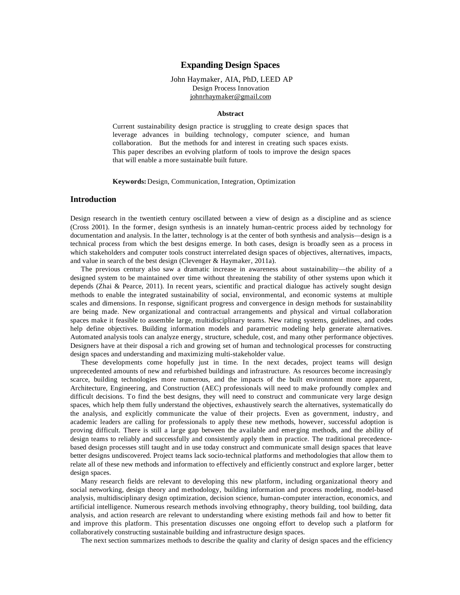# **Expanding Design Spaces**

# John Haymaker, AIA, PhD, LEED AP Design Process Innovation [johnrhaymaker@gmail.com](mailto:johnrhaymaker@gmail.com)

#### **Abstract**

Current sustainability design practice is struggling to create design spaces that leverage advances in building technology, computer science, and human collaboration. But the methods for and interest in creating such spaces exists. This paper describes an evolving platform of tools to improve the design spaces that will enable a more sustainable built future.

**Keywords:** Design, Communication, Integration, Optimization

# **Introduction**

Design research in the twentieth century oscillated between a view of design as a discipline and as science (Cross 2001). In the former, design synthesis is an innately human-centric process aided by technology for documentation and analysis. In the latter, technology is at the center of both synthesis and analysis—design is a technical process from which the best designs emerge. In both cases, design is broadly seen as a process in which stakeholders and computer tools construct interrelated design spaces of objectives, alternatives, impacts, and value in search of the best design (Clevenger & Haymaker, 2011a).

The previous century also saw a dramatic increase in awareness about sustainability—the ability of a designed system to be maintained over time without threatening the stability of other systems upon which it depends (Zhai & Pearce, 2011). In recent years, scientific and practical dialogue has actively sought design methods to enable the integrated sustainability of social, environmental, and economic systems at multiple scales and dimensions. In response, significant progress and convergence in design methods for sustainability are being made. New organizational and contractual arrangements and physical and virtual collaboration spaces make it feasible to assemble large, multidisciplinary teams. New rating systems, guidelines, and codes help define objectives. Building information models and parametric modeling help generate alternatives. Automated analysis tools can analyze energy, structure, schedule, cost, and many other performance objectives. Designers have at their disposal a rich and growing set of human and technological processes for constructing design spaces and understanding and maximizing multi-stakeholder value.

These developments come hopefully just in time. In the next decades, project teams will design unprecedented amounts of new and refurbished buildings and infrastructure. As resources become increasingly scarce, building technologies more numerous, and the impacts of the built environment more apparent, Architecture, Engineering, and Construction (AEC) professionals will need to make profoundly complex and difficult decisions. To find the best designs, they will need to construct and communicate very large design spaces, which help them fully understand the objectives, exhaustively search the alternatives, systematically do the analysis, and explicitly communicate the value of their projects. Even as government, industry, and academic leaders are calling for professionals to apply these new methods, however, successful adoption is proving difficult. There is still a large gap between the available and emerging methods, and the ability of design teams to reliably and successfully and consistently apply them in practice. The traditional precedencebased design processes still taught and in use today construct and communicate small design spaces that leave better designs undiscovered. Project teams lack socio-technical platforms and methodologies that allow them to relate all of these new methods and information to effectively and efficiently construct and explore larger, better design spaces.

Many research fields are relevant to developing this new platform, including organizational theory and social networking, design theory and methodology, building information and process modeling, model-based analysis, multidisciplinary design optimization, decision science, human-computer interaction, economics, and artificial intelligence. Numerous research methods involving ethnography, theory building, tool building, data analysis, and action research are relevant to understanding where existing methods fail and how to better fit and improve this platform. This presentation discusses one ongoing effort to develop such a platform for collaboratively constructing sustainable building and infrastructure design spaces.

The next section summarizes methods to describe the quality and clarity of design spaces and the efficiency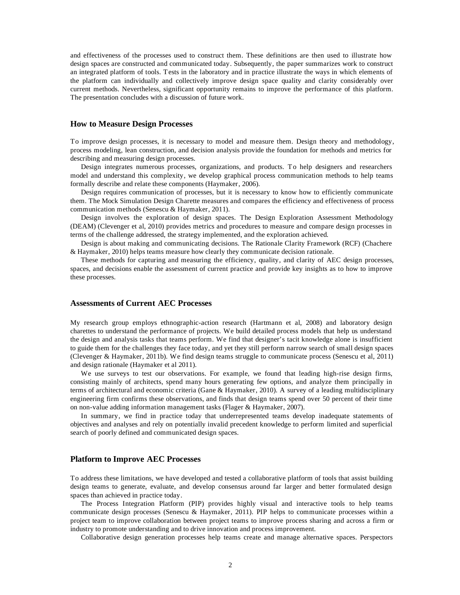and effectiveness of the processes used to construct them. These definitions are then used to illustrate how design spaces are constructed and communicated today. Subsequently, the paper summarizes work to construct an integrated platform of tools. Tests in the laboratory and in practice illustrate the ways in which elements of the platform can individually and collectively improve design space quality and clarity considerably over current methods. Nevertheless, significant opportunity remains to improve the performance of this platform. The presentation concludes with a discussion of future work.

# **How to Measure Design Processes**

To improve design processes, it is necessary to model and measure them. Design theory and methodology, process modeling, lean construction, and decision analysis provide the foundation for methods and metrics for describing and measuring design processes.

Design integrates numerous processes, organizations, and products. To help designers and researchers model and understand this complexity, we develop graphical process communication methods to help teams formally describe and relate these components (Haymaker, 2006).

Design requires communication of processes, but it is necessary to know how to efficiently communicate them. The Mock Simulation Design Charette measures and compares the efficiency and effectiveness of process communication methods (Senescu & Haymaker, 2011).

Design involves the exploration of design spaces. The Design Exploration Assessment Methodology (DEAM) (Clevenger et al, 2010) provides metrics and procedures to measure and compare design processes in terms of the challenge addressed, the strategy implemented, and the exploration achieved.

Design is about making and communicating decisions. The Rationale Clarity Framework (RCF) (Chachere & Haymaker, 2010) helps teams measure how clearly they communicate decision rationale.

These methods for capturing and measuring the efficiency, quality, and clarity of AEC design processes, spaces, and decisions enable the assessment of current practice and provide key insights as to how to improve these processes.

# **Assessments of Current AEC Processes**

My research group employs ethnographic-action research (Hartmann et al, 2008) and laboratory design charettes to understand the performance of projects. We build detailed process models that help us understand the design and analysis tasks that teams perform. We find that designer's tacit knowledge alone is insufficient to guide them for the challenges they face today, and yet they still perform narrow search of small design spaces (Clevenger & Haymaker, 2011b). We find design teams struggle to communicate process (Senescu et al, 2011) and design rationale (Haymaker et al 2011).

We use surveys to test our observations. For example, we found that leading high-rise design firms, consisting mainly of architects, spend many hours generating few options, and analyze them principally in terms of architectural and economic criteria (Gane & Haymaker, 2010). A survey of a leading multidisciplinary engineering firm confirms these observations, and finds that design teams spend over 50 percent of their time on non-value adding information management tasks (Flager & Haymaker, 2007).

In summary, we find in practice today that underrepresented teams develop inadequate statements of objectives and analyses and rely on potentially invalid precedent knowledge to perform limited and superficial search of poorly defined and communicated design spaces.

### **Platform to Improve AEC Processes**

To address these limitations, we have developed and tested a collaborative platform of tools that assist building design teams to generate, evaluate, and develop consensus around far larger and better formulated design spaces than achieved in practice today.

The Process Integration Platform (PIP) provides highly visual and interactive tools to help teams communicate design processes (Senescu & Haymaker, 2011). PIP helps to communicate processes within a project team to improve collaboration between project teams to improve process sharing and across a firm or industry to promote understanding and to drive innovation and process improvement.

Collaborative design generation processes help teams create and manage alternative spaces. Perspectors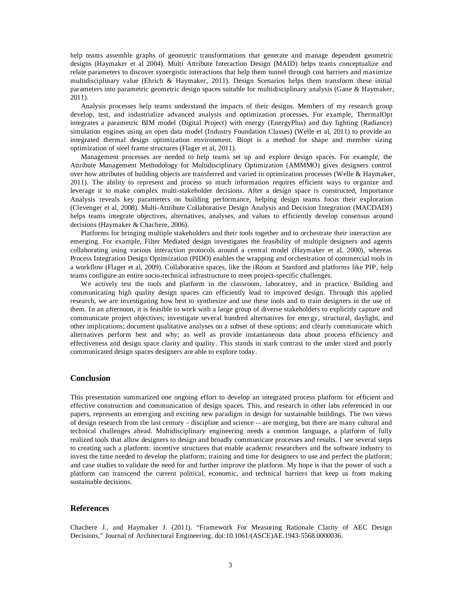help teams assemble graphs of geometric transformations that generate and manage dependent geometric designs (Haymaker et al 2004). Multi Attribute Interaction Design (MAID) helps teams conceptualize and relate parameters to discover synergistic interactions that help them tunnel through cost barriers and maximize multidisciplinary value (Ehrich & Haymaker, 2011). Design Scenarios helps them transform these initial parameters into parametric geometric design spaces suitable for multidisciplinary analysis (Gane & Haymaker, 2011).

Analysis processes help teams understand the impacts of their designs. Members of my research group develop, test, and industrialize advanced analysis and optimization processes. For example, ThermalOpt integrates a parametric BIM model (Digital Project) with energy (EnergyPlus) and day lighting (Radiance) simulation engines using an open data model (Industry Foundation Classes) (Welle et al, 2011) to provide an integrated thermal design optimization environment. Biopt is a method for shape and member sizing optimization of steel frame structures (Flager et al, 2011).

Management processes are needed to help teams set up and explore design spaces. For example, the Attribute Management Methodology for Multidisciplinary Optimization (AMMMO) gives designers control over how attributes of building objects are transferred and varied in optimization processes (Welle & Haymaker, 2011). The ability to represent and process so much information requires efficient ways to organize and leverage it to make complex multi-stakeholder decisions. After a design space is constructed, Importance Analysis reveals key parameters on building performance, helping design teams focus their exploration (Clevenger et al, 2008). Multi-Attribute Collaborative Design Analysis and Decision Integration (MACDADI) helps teams integrate objectives, alternatives, analyses, and values to efficiently develop consensus around decisions (Haymaker & Chachere, 2006).

Platforms for bringing multiple stakeholders and their tools together and to orchestrate their interaction are emerging. For example, Filter Mediated design investigates the feasibility of multiple designers and agents collaborating using various interaction protocols around a central model (Haymaker et al, 2000), whereas Process Integration Design Optimization (PIDO) enables the wrapping and orchestration of commercial tools in a workflow (Flager et al, 2009). Collaborative spaces, like the iRoom at Stanford and platforms like PIP, help teams configure an entire socio-technical infrastructure to meet project-specific challenges.

We actively test the tools and platform in the classroom, laboratory, and in practice. Building and communicating high quality design spaces can efficiently lead to improved design. Through this applied research, we are investigating how best to synthesize and use these tools and to train designers in the use of them. In an afternoon, it is feasible to work with a large group of diverse stakeholders to explicitly capture and communicate project objectives; investigate several hundred alternatives for energy, structural, daylight, and other implications; document qualitative analyses on a subset of these options; and clearly communicate which alternatives perform best and why; as well as provide instantaneous data about process efficiency and effectiveness and design space clarity and quality. This stands in stark contrast to the under sized and poorly communicated design spaces designers are able to explore today.

# **Conclusion**

This presentation summarized one ongoing effort to develop an integrated process platform for efficient and effective construction and communication of design spaces. This, and research in other labs referenced in our papers, represents an emerging and exciting new paradigm in design for sustainable buildings. The two views of design research from the last century – discipline and science -- are merging, but there are many cultural and technical challenges ahead. Multidisciplinary engineering needs a common language, a platform of fully realized tools that allow designers to design and broadly communicate processes and results. I see several steps to creating such a platform: incentive structures that enable academic researchers and the software industry to invest the time needed to develop the platform; training and time for designers to use and perfect the platform; and case studies to validate the need for and further improve the platform. My hope is that the power of such a platform can transcend the current political, economic, and technical barriers that keep us from making sustainable decisions.

# **References**

Chachere J., and Haymaker J. (2011). "Framework For Measuring Rationale Clarity of AEC Design Decisions," Journal of Architectural Engineering, doi:10.1061/(ASCE)AE.1943-5568.0000036.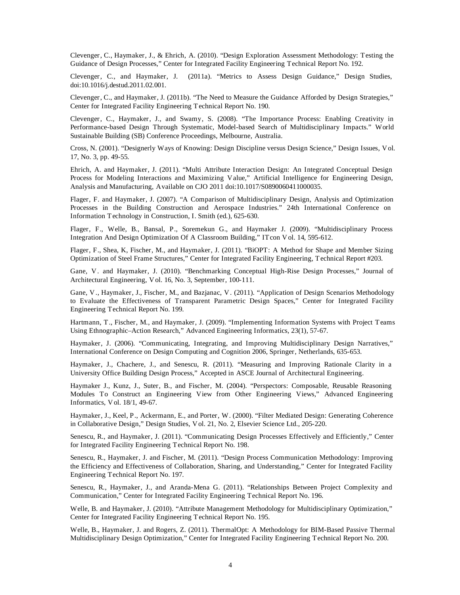Clevenger, C., Haymaker, J., & Ehrich, A. (2010). "Design Exploration Assessment Methodology: Testing the Guidance of Design Processes," Center for Integrated Facility Engineering Technical Report No. 192.

Clevenger, C., and Haymaker, J. (2011a). "Metrics to Assess Design Guidance," Design Studies, doi:10.1016/j.destud.2011.02.001.

Clevenger, C., and Haymaker, J. (2011b). "The Need to Measure the Guidance Afforded by Design Strategies," Center for Integrated Facility Engineering Technical Report No. 190.

Clevenger, C., Haymaker, J., and Swamy, S. (2008). "The Importance Process: Enabling Creativity in Performance-based Design Through Systematic, Model-based Search of Multidisciplinary Impacts." World Sustainable Building (SB) Conference Proceedings, Melbourne, Australia.

Cross, N. (2001). "Designerly Ways of Knowing: Design Discipline versus Design Science," Design Issues, Vol. 17, No. 3, pp. 49-55.

Ehrich, A. and Haymaker, J. (2011). "Multi Attribute Interaction Design: An Integrated Conceptual Design Process for Modeling Interactions and Maximizing Value," Artificial Intelligence for Engineering Design, Analysis and Manufacturing, Available on CJO 2011 doi:10.1017/S0890060411000035.

Flager, F. and Haymaker, J. (2007). "A Comparison of Multidisciplinary Design, Analysis and Optimization Processes in the Building Construction and Aerospace Industries." 24th International Conference on Information Technology in Construction, I. Smith (ed.), 625-630.

Flager, F., Welle, B., Bansal, P., Soremekun G., and Haymaker J. (2009). "Multidisciplinary Process Integration And Design Optimization Of A Classroom Building," ITcon Vol. 14, 595-612.

Flager, F., Shea, K, Fischer, M., and Haymaker, J. (2011). "BiOPT: A Method for Shape and Member Sizing Optimization of Steel Frame Structures," Center for Integrated Facility Engineering, Technical Report #203.

Gane, V. and Haymaker, J. (2010). "Benchmarking Conceptual High-Rise Design Processes," Journal of Architectural Engineering, Vol. 16, No. 3, September, 100-111.

Gane, V., Haymaker, J., Fischer, M., and Bazjanac, V. (2011). "Application of Design Scenarios Methodology to Evaluate the Effectiveness of Transparent Parametric Design Spaces," Center for Integrated Facility Engineering Technical Report No. 199.

Hartmann, T., Fischer, M., and Haymaker, J. (2009). "Implementing Information Systems with Project Teams Using Ethnographic–Action Research," Advanced Engineering Informatics, 23(1), 57-67.

Haymaker, J. (2006). "Communicating, Integrating, and Improving Multidisciplinary Design Narratives," International Conference on Design Computing and Cognition 2006, Springer, Netherlands, 635-653.

Haymaker, J., Chachere, J., and Senescu, R. (2011). "Measuring and Improving Rationale Clarity in a University Office Building Design Process," Accepted in ASCE Journal of Architectural Engineering.

Haymaker J., Kunz, J., Suter, B., and Fischer, M. (2004). "Perspectors: Composable, Reusable Reasoning Modules To Construct an Engineering View from Other Engineering Views," Advanced Engineering Informatics, Vol. 18/1, 49-67.

Haymaker, J., Keel, P., Ackermann, E., and Porter, W. (2000). "Filter Mediated Design: Generating Coherence in Collaborative Design," Design Studies, Vol. 21, No. 2, Elsevier Science Ltd., 205-220.

Senescu, R., and Haymaker, J. (2011). "Communicating Design Processes Effectively and Efficiently," Center for Integrated Facility Engineering Technical Report No. 198.

Senescu, R., Haymaker, J. and Fischer, M. (2011). "Design Process Communication Methodology: Improving the Efficiency and Effectiveness of Collaboration, Sharing, and Understanding," Center for Integrated Facility Engineering Technical Report No. 197.

Senescu, R., Haymaker, J., and Aranda-Mena G. (2011). "Relationships Between Project Complexity and Communication," Center for Integrated Facility Engineering Technical Report No. 196.

Welle, B. and Haymaker, J. (2010). "Attribute Management Methodology for Multidisciplinary Optimization," Center for Integrated Facility Engineering Technical Report No. 195.

Welle, B., Haymaker, J. and Rogers, Z. (2011). ThermalOpt: A Methodology for BIM-Based Passive Thermal Multidisciplinary Design Optimization," Center for Integrated Facility Engineering Technical Report No. 200.